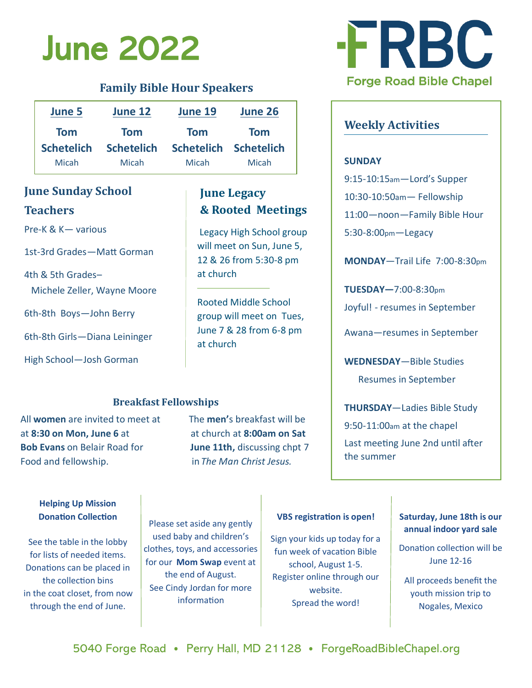# June 2022

### **Family Bible Hour Speakers**

| <b>June 5</b>     | June 12           | June 19               | June 26    |
|-------------------|-------------------|-----------------------|------------|
| <b>Tom</b>        | <b>Tom</b>        | <b>Tom</b>            | <b>Tom</b> |
| <b>Schetelich</b> | <b>Schetelich</b> | Schetelich Schetelich |            |
| Micah             | Micah             | Micah                 | Micah      |

## **June Sunday School Teachers**

Pre-K & K— various

1st-3rd Grades—Matt Gorman

4th & 5th Grades– Michele Zeller, Wayne Moore

6th-8th Boys—John Berry

6th-8th Girls—Diana Leininger

High School—Josh Gorman

# **June Legacy & Rooted Meetings**

Legacy High School group will meet on Sun, June 5, 12 & 26 from 5:30-8 pm at church

Rooted Middle School group will meet on Tues, June 7 & 28 from 6-8 pm at church

#### **Breakfast Fellowships**

All **women** are invited to meet at The **men'**s breakfast will be at **8:30 on Mon, June 6** at at church at **8:00am on Sat Bob Evans** on Belair Road for **June 11th,** discussing chpt 7 Food and fellowship. in *The Man Christ Jesus.*



# **Weekly Activities**

#### **SUNDAY**

9:15-10:15am—Lord's Supper

10:30-10:50am— Fellowship

11:00—noon—Family Bible Hour

5:30-8:00pm—Legacy

**MONDAY**—Trail Life 7:00-8:30pm

**TUESDAY—**7:00-8:30pm Joyful! - resumes in September

Awana—resumes in September

**WEDNESDAY**—Bible Studies

Resumes in September

**THURSDAY**—Ladies Bible Study

9:50-11:00am at the chapel

Last meeting June 2nd until after the summer

#### **Helping Up Mission Donation Collection**

See the table in the lobby for lists of needed items. Donations can be placed in the collection bins in the coat closet, from now through the end of June.

Please set aside any gently used baby and children's clothes, toys, and accessories for our **Mom Swap** event at the end of August. See Cindy Jordan for more information

#### **VBS registration is open!**

Sign your kids up today for a fun week of vacation Bible school, August 1-5. Register online through our website. Spread the word!

#### **Saturday, June 18th is our annual indoor yard sale**

Donation collection will be June 12-16

All proceeds benefit the youth mission trip to Nogales, Mexico